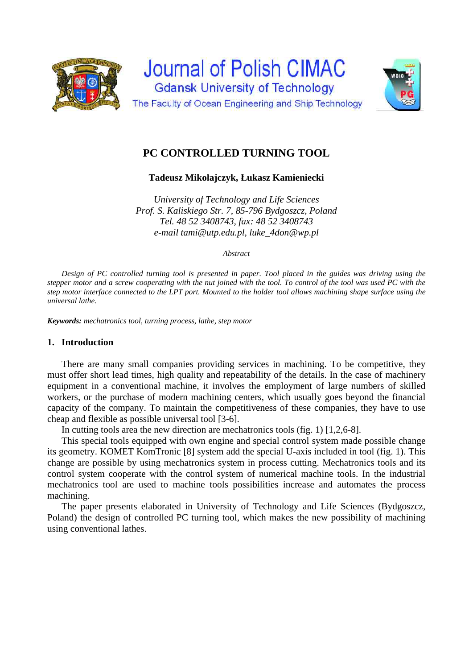



# **PC CONTROLLED TURNING TOOL**

**Tadeusz Mikołajczyk, Łukasz Kamieniecki** 

*University of Technology and Life Sciences Prof. S. Kaliskiego Str. 7, 85-796 Bydgoszcz, Poland Tel. 48 52 3408743, fax: 48 52 3408743 e-mail tami@utp.edu.pl, luke\_4don@wp.pl* 

*Abstract* 

*Design of PC controlled turning tool is presented in paper. Tool placed in the guides was driving using the stepper motor and a screw cooperating with the nut joined with the tool. To control of the tool was used PC with the step motor interface connected to the LPT port. Mounted to the holder tool allows machining shape surface using the universal lathe.* 

*Keywords: mechatronics tool, turning process, lathe, step motor* 

## **1. Introduction**

There are many small companies providing services in machining. To be competitive, they must offer short lead times, high quality and repeatability of the details. In the case of machinery equipment in a conventional machine, it involves the employment of large numbers of skilled workers, or the purchase of modern machining centers, which usually goes beyond the financial capacity of the company. To maintain the competitiveness of these companies, they have to use cheap and flexible as possible universal tool [3-6].

In cutting tools area the new direction are mechatronics tools (fig. 1) [1,2,6-8].

This special tools equipped with own engine and special control system made possible change its geometry. KOMET KomTronic [8] system add the special U-axis included in tool (fig. 1). This change are possible by using mechatronics system in process cutting. Mechatronics tools and its control system cooperate with the control system of numerical machine tools. In the industrial mechatronics tool are used to machine tools possibilities increase and automates the process machining.

The paper presents elaborated in University of Technology and Life Sciences (Bydgoszcz, Poland) the design of controlled PC turning tool, which makes the new possibility of machining using conventional lathes.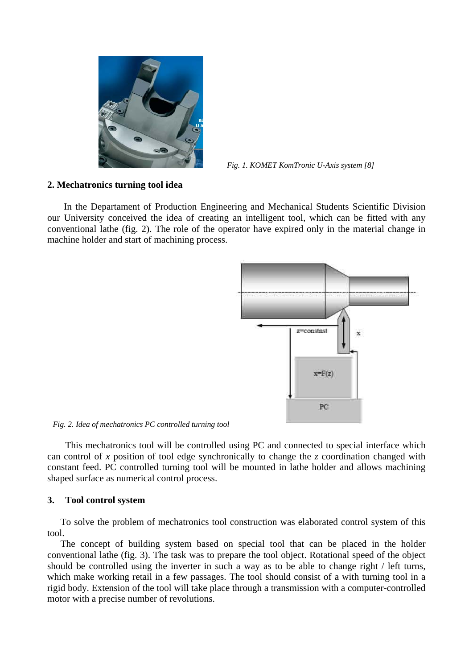

*Fig. 1. KOMET KomTronic U-Axis system [8]*

#### **2. Mechatronics turning tool idea**

In the Departament of Production Engineering and Mechanical Students Scientific Division our University conceived the idea of creating an intelligent tool, which can be fitted with any conventional lathe (fig. 2). The role of the operator have expired only in the material change in machine holder and start of machining process.



*Fig. 2. Idea of mechatronics PC controlled turning tool*

This mechatronics tool will be controlled using PC and connected to special interface which can control of *x* position of tool edge synchronically to change the *z* coordination changed with constant feed. PC controlled turning tool will be mounted in lathe holder and allows machining shaped surface as numerical control process.

## **3. Tool control system**

To solve the problem of mechatronics tool construction was elaborated control system of this tool.

The concept of building system based on special tool that can be placed in the holder conventional lathe (fig. 3). The task was to prepare the tool object. Rotational speed of the object should be controlled using the inverter in such a way as to be able to change right / left turns, which make working retail in a few passages. The tool should consist of a with turning tool in a rigid body. Extension of the tool will take place through a transmission with a computer-controlled motor with a precise number of revolutions.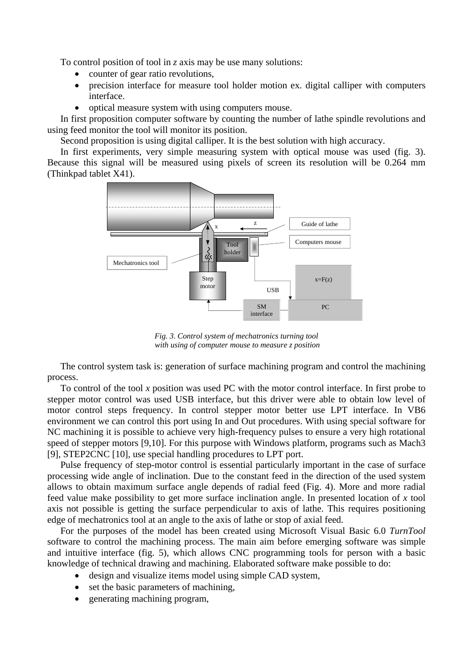To control position of tool in *z* axis may be use many solutions:

- counter of gear ratio revolutions,
- precision interface for measure tool holder motion ex. digital calliper with computers interface.
- optical measure system with using computers mouse.

In first proposition computer software by counting the number of lathe spindle revolutions and using feed monitor the tool will monitor its position.

Second proposition is using digital calliper. It is the best solution with high accuracy.

In first experiments, very simple measuring system with optical mouse was used (fig. 3). Because this signal will be measured using pixels of screen its resolution will be 0.264 mm (Thinkpad tablet X41).



*Fig. 3. Control system of mechatronics turning tool with using of computer mouse to measure z position*

The control system task is: generation of surface machining program and control the machining process.

To control of the tool *x* position was used PC with the motor control interface. In first probe to stepper motor control was used USB interface, but this driver were able to obtain low level of motor control steps frequency. In control stepper motor better use LPT interface. In VB6 environment we can control this port using In and Out procedures. With using special software for NC machining it is possible to achieve very high-frequency pulses to ensure a very high rotational speed of stepper motors [9,10]. For this purpose with Windows platform, programs such as Mach3 [9], STEP2CNC [10], use special handling procedures to LPT port.

Pulse frequency of step-motor control is essential particularly important in the case of surface processing wide angle of inclination. Due to the constant feed in the direction of the used system allows to obtain maximum surface angle depends of radial feed (Fig. 4). More and more radial feed value make possibility to get more surface inclination angle. In presented location of *x* tool axis not possible is getting the surface perpendicular to axis of lathe. This requires positioning edge of mechatronics tool at an angle to the axis of lathe or stop of axial feed.

For the purposes of the model has been created using Microsoft Visual Basic 6.0 *TurnTool* software to control the machining process. The main aim before emerging software was simple and intuitive interface (fig. 5), which allows CNC programming tools for person with a basic knowledge of technical drawing and machining. Elaborated software make possible to do:

- design and visualize items model using simple CAD system,
- set the basic parameters of machining,
- generating machining program,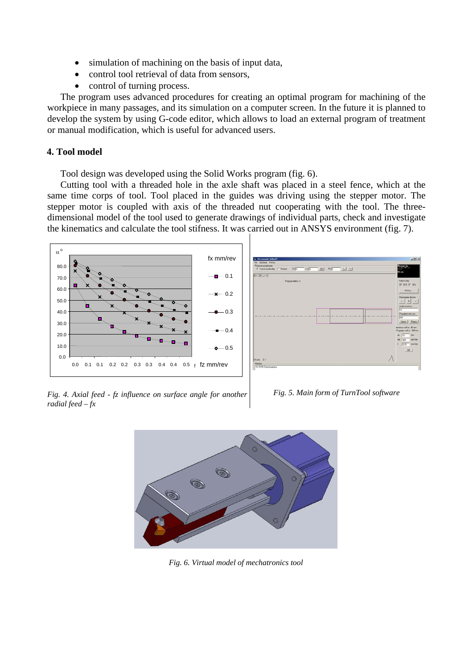- simulation of machining on the basis of input data,
- control tool retrieval of data from sensors,
- control of turning process.

The program uses advanced procedures for creating an optimal program for machining of the workpiece in many passages, and its simulation on a computer screen. In the future it is planned to develop the system by using G-code editor, which allows to load an external program of treatment or manual modification, which is useful for advanced users.

## **4. Tool model**

Tool design was developed using the Solid Works program (fig. 6).

Cutting tool with a threaded hole in the axle shaft was placed in a steel fence, which at the same time corps of tool. Tool placed in the guides was driving using the stepper motor. The stepper motor is coupled with axis of the threaded nut cooperating with the tool. The threedimensional model of the tool used to generate drawings of individual parts, check and investigate the kinematics and calculate the tool stifness. It was carried out in ANSYS environment (fig. 7).





*Fig. 4. Axial feed - fz influence on surface angle for another radial feed – fx*

*Fig. 5. Main form of TurnTool software* 



*Fig. 6. Virtual model of mechatronics tool*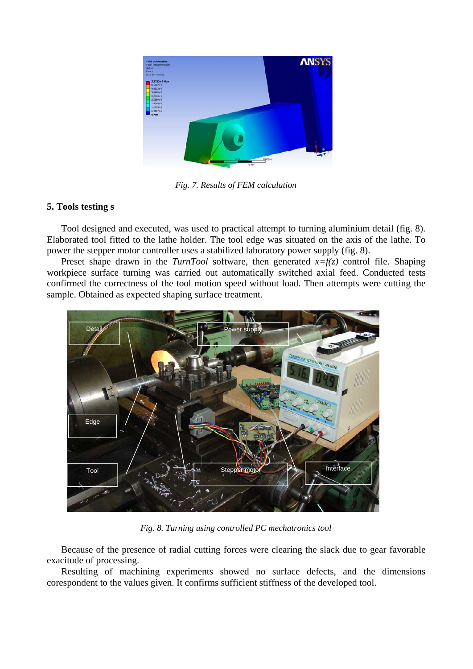

*Fig. 7. Results of FEM calculation*

# **5. Tools testing s**

Tool designed and executed, was used to practical attempt to turning aluminium detail (fig. 8). Elaborated tool fitted to the lathe holder. The tool edge was situated on the axis of the lathe. To power the stepper motor controller uses a stabilized laboratory power supply (fig. 8).

Preset shape drawn in the *TurnTool* software, then generated *x=f(z)* control file. Shaping workpiece surface turning was carried out automatically switched axial feed. Conducted tests confirmed the correctness of the tool motion speed without load. Then attempts were cutting the sample. Obtained as expected shaping surface treatment.



*Fig. 8. Turning using controlled PC mechatronics tool*

Because of the presence of radial cutting forces were clearing the slack due to gear favorable exacitude of processing.

Resulting of machining experiments showed no surface defects, and the dimensions corespondent to the values given. It confirms sufficient stiffness of the developed tool.